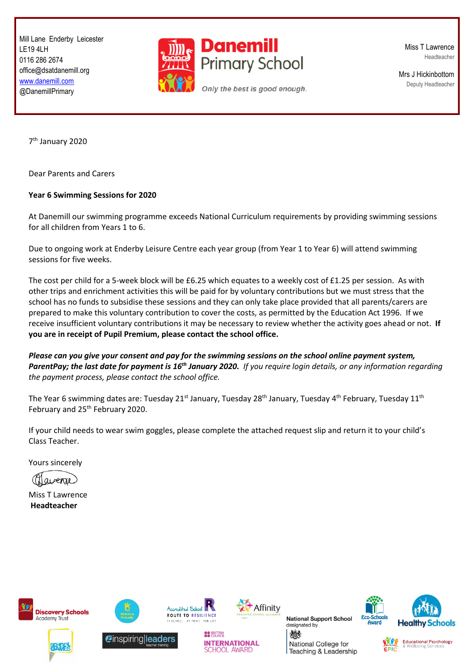Mill Lane Enderby Leicester LE19 4LH 0116 286 2674 office@dsatdanemill.org [www.danemill.com](http://www.danemill.com/) @DanemillPrimary



Miss T Lawrence Headteacher

Mrs J Hickinbottom Deputy Headteacher

7 th January 2020

Dear Parents and Carers

## **Year 6 Swimming Sessions for 2020**

At Danemill our swimming programme exceeds National Curriculum requirements by providing swimming sessions for all children from Years 1 to 6.

Due to ongoing work at Enderby Leisure Centre each year group (from Year 1 to Year 6) will attend swimming sessions for five weeks.

The cost per child for a 5-week block will be £6.25 which equates to a weekly cost of £1.25 per session. As with other trips and enrichment activities this will be paid for by voluntary contributions but we must stress that the school has no funds to subsidise these sessions and they can only take place provided that all parents/carers are prepared to make this voluntary contribution to cover the costs, as permitted by the Education Act 1996. If we receive insufficient voluntary contributions it may be necessary to review whether the activity goes ahead or not. **If you are in receipt of Pupil Premium, please contact the school office.**

*Please can you give your consent and pay for the swimming sessions on the school online payment system, ParentPay; the last date for payment is 16th January 2020. If you require login details, or any information regarding the payment process, please contact the school office.*

The Year 6 swimming dates are: Tuesday 21<sup>st</sup> January, Tuesday 28<sup>th</sup> January, Tuesday 4<sup>th</sup> February, Tuesday 11<sup>th</sup> February and 25<sup>th</sup> February 2020.

If your child needs to wear swim goggles, please complete the attached request slip and return it to your child's Class Teacher.

Yours sincerely

avenue

Miss T Lawrence **Headteacher**



Academy Trust

**Discovery Schools** 



*C*inspiring leaders



**OO BRITISH** 

**INTERNATIONAL** 

**SCHOOL AWARD** 



**National Support School** designated by

燃料 National College for Teaching & Leadership





**Educational Psychology**